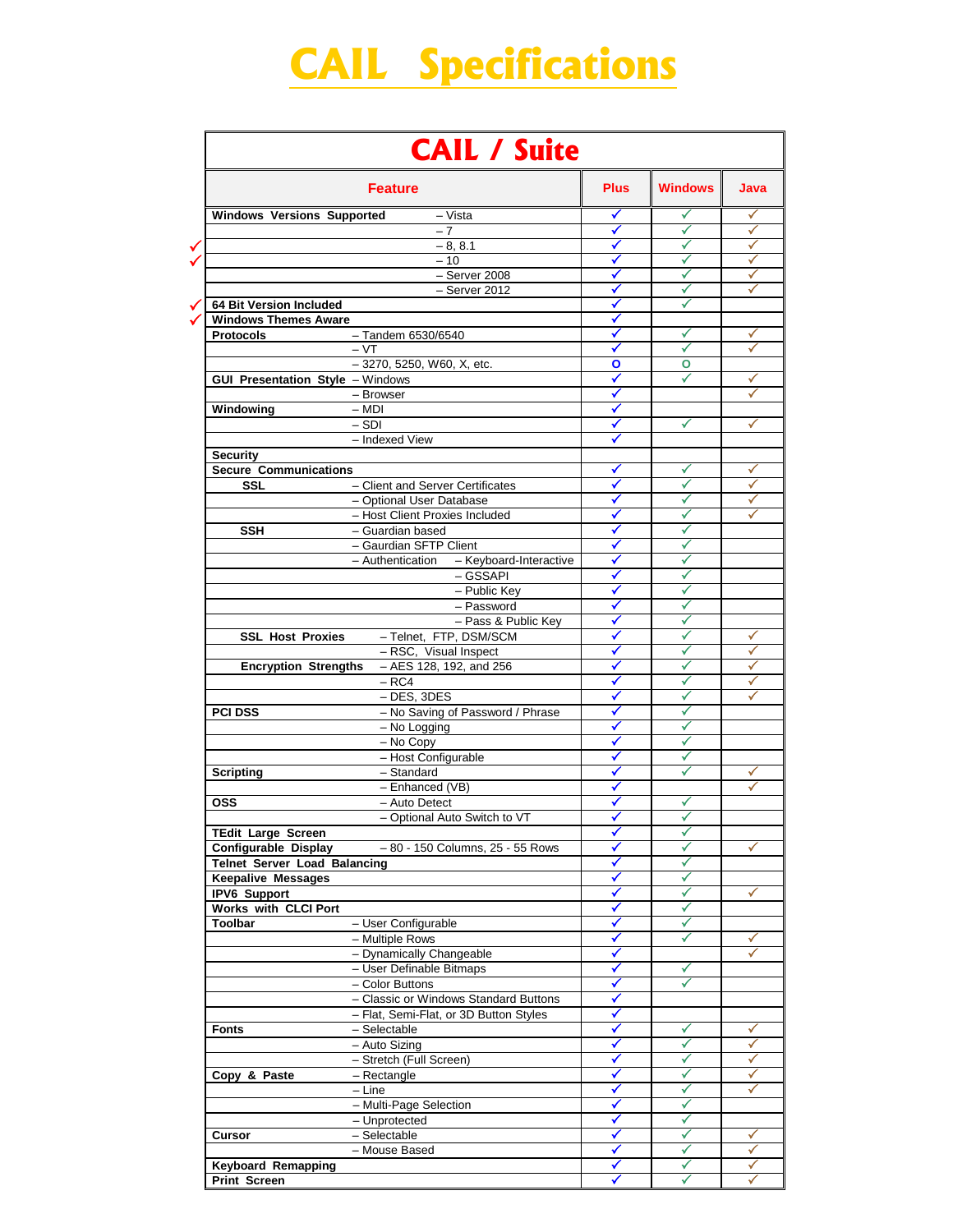## **CAIL Specifications**

| <b>Feature</b>                                          | <b>Plus</b>  | <b>Windows</b> | Java   |
|---------------------------------------------------------|--------------|----------------|--------|
| <b>Windows Versions Supported</b><br>- Vista            | ✓            | ✓              | ✓      |
| $-7$                                                    | ✓            | ✓              | ✓      |
| $-8, 8.1$                                               | ✓            | ✓              | ✓      |
| $-10$                                                   | ✓            |                | ✓      |
| $-$ Server 2008                                         | ✓            | $\checkmark$   | ✓      |
| $-$ Server 2012                                         | ✓            | ✓              | ✓      |
| 64 Bit Version Included                                 | ✓            |                |        |
| <b>Windows Themes Aware</b>                             |              |                |        |
| Protocols<br>- Tandem 6530/6540                         | ✓            |                | ✓      |
| $-VT$                                                   |              |                | ✓      |
| - 3270, 5250, W60, X, etc.                              | O            | O              |        |
| <b>GUI Presentation Style - Windows</b>                 | $\checkmark$ | ✓              | ✓      |
| - Browser                                               | ✓            |                |        |
| Windowing<br>$-$ MDI                                    | ✓            |                |        |
| $-SDI$                                                  | ✓            | ✓              | ✓      |
| - Indexed View                                          |              |                |        |
| <b>Security</b>                                         |              |                |        |
| <b>Secure Communications</b>                            | ✓            | ✓              | ✓      |
| - Client and Server Certificates<br><b>SSL</b>          |              |                |        |
| - Optional User Database                                | ✓            | ✓              |        |
| - Host Client Proxies Included                          |              |                |        |
| - Guardian based<br><b>SSH</b>                          | ✓            | ✓              |        |
| - Gaurdian SFTP Client                                  | ✓            | ✓              |        |
| - Authentication - Keyboard-Interactive                 | ✓            | ✓              |        |
| $-$ GSSAPI                                              | ✓            | √              |        |
| - Public Key                                            | ✓            |                |        |
| - Password                                              |              |                |        |
| - Pass & Public Key                                     | ✓            | ✓              |        |
| <b>SSL Host Proxies</b><br>- Telnet, FTP, DSM/SCM       | ✓            | ✓              | ✓      |
| - RSC, Visual Inspect                                   | ✓            |                | ✓      |
| Encryption Strengths - AES 128, 192, and 256            | ✔            |                | ✓      |
| $- RC4$                                                 | ✓            | √              | ✓      |
| $-$ DES, 3DES                                           | ✓            | ✓              | ✓      |
| - No Saving of Password / Phrase<br><b>PCI DSS</b>      |              | ✓              |        |
| $-$ No Logging                                          |              |                |        |
| - No Copy                                               | ✓            | ✓              |        |
| - Host Configurable                                     | ✓            |                |        |
|                                                         |              | ✓<br>✓         |        |
| - Standard<br><b>Scripting</b>                          | ✓            |                | ✓      |
| - Enhanced (VB)                                         | ✓            |                |        |
| <b>OSS</b><br>- Auto Detect                             |              | ✓              |        |
| - Optional Auto Switch to VT                            | ✓            |                |        |
| TEdit Large Screen                                      | ✔            | ✓              |        |
| -80 - 150 Columns, 25 - 55 Rows<br>Configurable Display | ✓            | ✓              | ✓      |
| <b>Telnet Server Load Balancing</b>                     | ✓            | √              |        |
| <b>Keepalive Messages</b>                               | ✓            | ✓              |        |
| <b>IPV6 Support</b>                                     | ✓            | ✓              | ✓      |
| <b>Works with CLCI Port</b>                             | ✓            | ✓              |        |
| Toolbar<br>- User Configurable                          | ✓            | ✓              |        |
| - Multiple Rows                                         | ✓            | ✓              | ✓      |
|                                                         | ✓            |                |        |
| - Dynamically Changeable                                |              | ✓              |        |
| - User Definable Bitmaps                                | ✓            |                |        |
| - Color Buttons                                         | ✓            | ✓              |        |
| - Classic or Windows Standard Buttons                   | ✓            |                |        |
| - Flat, Semi-Flat, or 3D Button Styles                  | ✓            |                |        |
| - Selectable                                            | ✓            | ✓              | ✓      |
| - Auto Sizing                                           | ✔            | ✓              | ✓      |
|                                                         | ✓            | ✓              | ✓      |
| - Stretch (Full Screen)                                 | ✓            | ✓              | ✓      |
| - Rectangle                                             | ✓            | ✓              | ✓      |
| $-$ Line                                                |              | √              |        |
| <b>Fonts</b><br>Copy & Paste<br>- Multi-Page Selection  | ✔            |                |        |
| - Unprotected                                           | ✓            | ✓              |        |
| - Selectable<br><b>Cursor</b><br>- Mouse Based          | ✓<br>✓       | ✓<br>✓         | ✓<br>✓ |